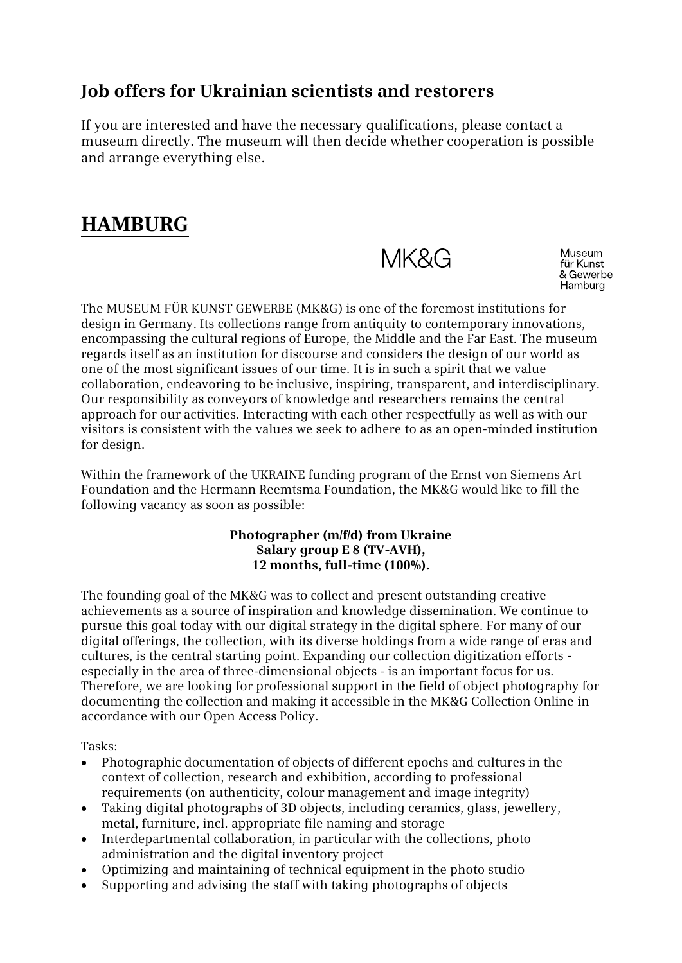### **Job offers for Ukrainian scientists and restorers**

If you are interested and have the necessary qualifications, please contact a museum directly. The museum will then decide whether cooperation is possible and arrange everything else.

## **HAMBURG**

MK&G

Museum für Kunst & Gewerbe Hamburg

The MUSEUM FÜR KUNST GEWERBE (MK&G) is one of the foremost institutions for design in Germany. Its collections range from antiquity to contemporary innovations, encompassing the cultural regions of Europe, the Middle and the Far East. The museum regards itself as an institution for discourse and considers the design of our world as one of the most significant issues of our time. It is in such a spirit that we value collaboration, endeavoring to be inclusive, inspiring, transparent, and interdisciplinary. Our responsibility as conveyors of knowledge and researchers remains the central approach for our activities. Interacting with each other respectfully as well as with our visitors is consistent with the values we seek to adhere to as an open-minded institution for design.

Within the framework of the UKRAINE funding program of the Ernst von Siemens Art Foundation and the Hermann Reemtsma Foundation, the MK&G would like to fill the following vacancy as soon as possible:

#### **Photographer (m/f/d) from Ukraine Salary group E 8 (TV-AVH), 12 months, full-time (100%).**

The founding goal of the MK&G was to collect and present outstanding creative achievements as a source of inspiration and knowledge dissemination. We continue to pursue this goal today with our digital strategy in the digital sphere. For many of our digital offerings, the collection, with its diverse holdings from a wide range of eras and cultures, is the central starting point. Expanding our collection digitization efforts especially in the area of three-dimensional objects - is an important focus for us. Therefore, we are looking for professional support in the field of object photography for documenting the collection and making it accessible in the MK&G Collection Online in accordance with our Open Access Policy.

Tasks:

- Photographic documentation of objects of different epochs and cultures in the context of collection, research and exhibition, according to professional requirements (on authenticity, colour management and image integrity)
- Taking digital photographs of 3D objects, including ceramics, glass, jewellery, metal, furniture, incl. appropriate file naming and storage
- Interdepartmental collaboration, in particular with the collections, photo administration and the digital inventory project
- Optimizing and maintaining of technical equipment in the photo studio
- Supporting and advising the staff with taking photographs of objects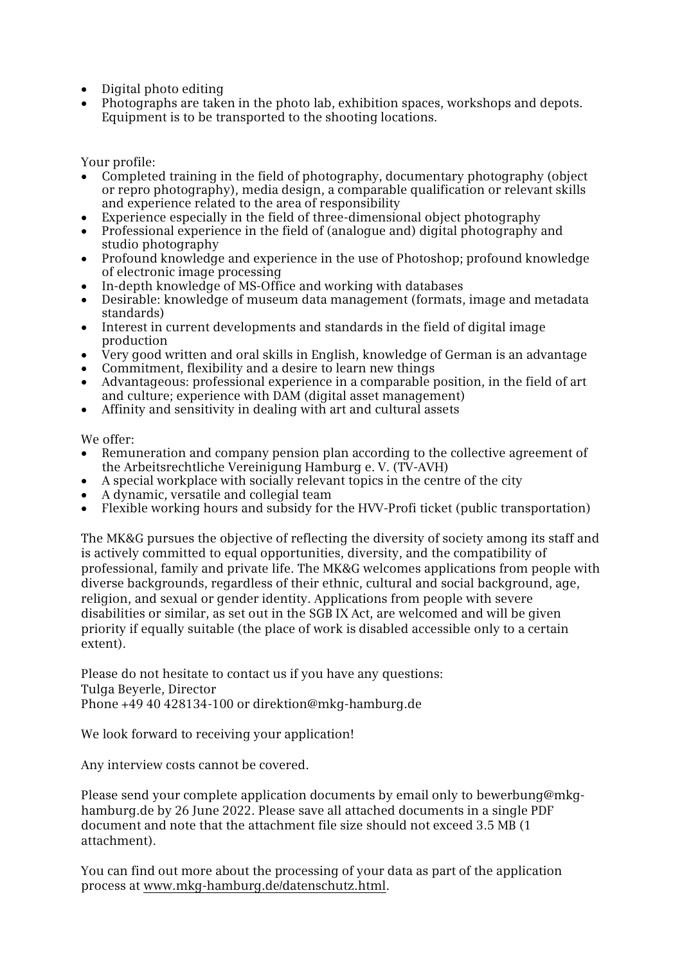- Digital photo editing
- Photographs are taken in the photo lab, exhibition spaces, workshops and depots. Equipment is to be transported to the shooting locations.

Your profile:

- Completed training in the field of photography, documentary photography (object or repro photography), media design, a comparable qualification or relevant skills and experience related to the area of responsibility
- Experience especially in the field of three-dimensional object photography
- Professional experience in the field of (analogue and) digital photography and studio photography
- Profound knowledge and experience in the use of Photoshop; profound knowledge of electronic image processing
- In-depth knowledge of MS-Office and working with databases
- Desirable: knowledge of museum data management (formats, image and metadata standards)
- Interest in current developments and standards in the field of digital image production
- Very good written and oral skills in English, knowledge of German is an advantage
- Commitment, flexibility and a desire to learn new things
- Advantageous: professional experience in a comparable position, in the field of art and culture; experience with DAM (digital asset management)
- Affinity and sensitivity in dealing with art and cultural assets

We offer:

- Remuneration and company pension plan according to the collective agreement of the Arbeitsrechtliche Vereinigung Hamburg e. V. (TV-AVH)
- A special workplace with socially relevant topics in the centre of the city
- A dynamic, versatile and collegial team
- Flexible working hours and subsidy for the HVV-Profi ticket (public transportation)

The MK&G pursues the objective of reflecting the diversity of society among its staff and is actively committed to equal opportunities, diversity, and the compatibility of professional, family and private life. The MK&G welcomes applications from people with diverse backgrounds, regardless of their ethnic, cultural and social background, age, religion, and sexual or gender identity. Applications from people with severe disabilities or similar, as set out in the SGB IX Act, are welcomed and will be given priority if equally suitable (the place of work is disabled accessible only to a certain extent).

Please do not hesitate to contact us if you have any questions: Tulga Beyerle, Director Phone +49 40 428134-100 or direktion@mkg-hamburg.de

We look forward to receiving your application!

Any interview costs cannot be covered.

Please send your complete application documents by email only to bewerbung@mkghamburg.de by 26 June 2022. Please save all attached documents in a single PDF document and note that the attachment file size should not exceed 3.5 MB (1 attachment).

You can find out more about the processing of your data as part of the application process at www.mkg-hamburg.de/datenschutz.html.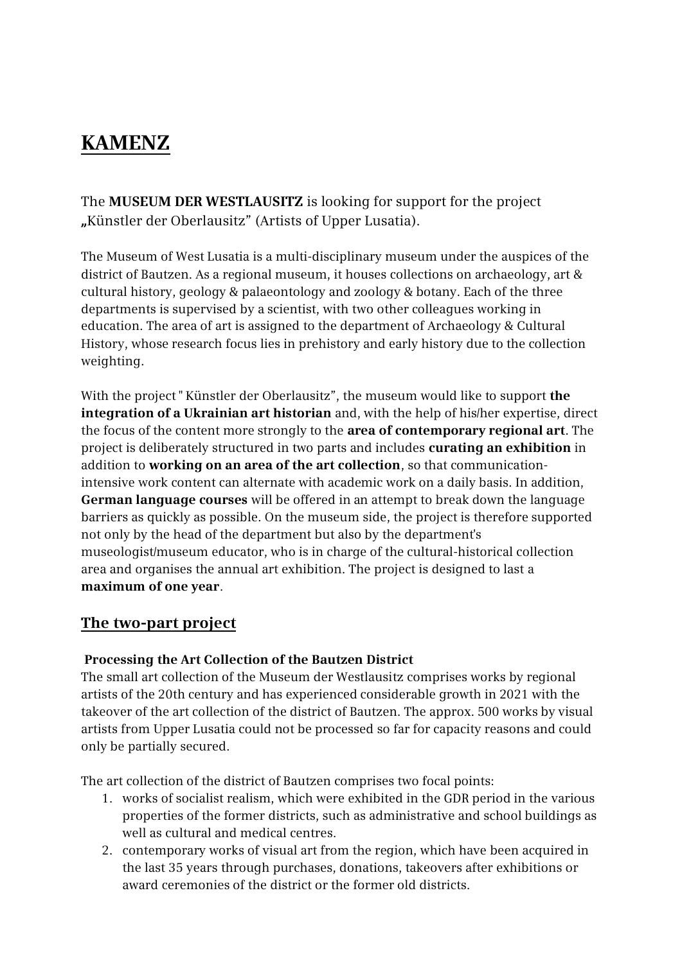## **KAMENZ**

The **MUSEUM DER WESTLAUSITZ** is looking for support for the project **"**Künstler der Oberlausitz" (Artists of Upper Lusatia).

The Museum of West Lusatia is a multi-disciplinary museum under the auspices of the district of Bautzen. As a regional museum, it houses collections on archaeology, art & cultural history, geology & palaeontology and zoology & botany. Each of the three departments is supervised by a scientist, with two other colleagues working in education. The area of art is assigned to the department of Archaeology & Cultural History, whose research focus lies in prehistory and early history due to the collection weighting.

With the project " Künstler der Oberlausitz", the museum would like to support **the integration of a Ukrainian art historian** and, with the help of his/her expertise, direct the focus of the content more strongly to the **area of contemporary regional art**. The project is deliberately structured in two parts and includes **curating an exhibition** in addition to **working on an area of the art collection**, so that communicationintensive work content can alternate with academic work on a daily basis. In addition, **German language courses** will be offered in an attempt to break down the language barriers as quickly as possible. On the museum side, the project is therefore supported not only by the head of the department but also by the department's museologist/museum educator, who is in charge of the cultural-historical collection area and organises the annual art exhibition. The project is designed to last a **maximum of one year**.

### **The two-part project**

#### **Processing the Art Collection of the Bautzen District**

The small art collection of the Museum der Westlausitz comprises works by regional artists of the 20th century and has experienced considerable growth in 2021 with the takeover of the art collection of the district of Bautzen. The approx. 500 works by visual artists from Upper Lusatia could not be processed so far for capacity reasons and could only be partially secured.

The art collection of the district of Bautzen comprises two focal points:

- 1. works of socialist realism, which were exhibited in the GDR period in the various properties of the former districts, such as administrative and school buildings as well as cultural and medical centres.
- 2. contemporary works of visual art from the region, which have been acquired in the last 35 years through purchases, donations, takeovers after exhibitions or award ceremonies of the district or the former old districts.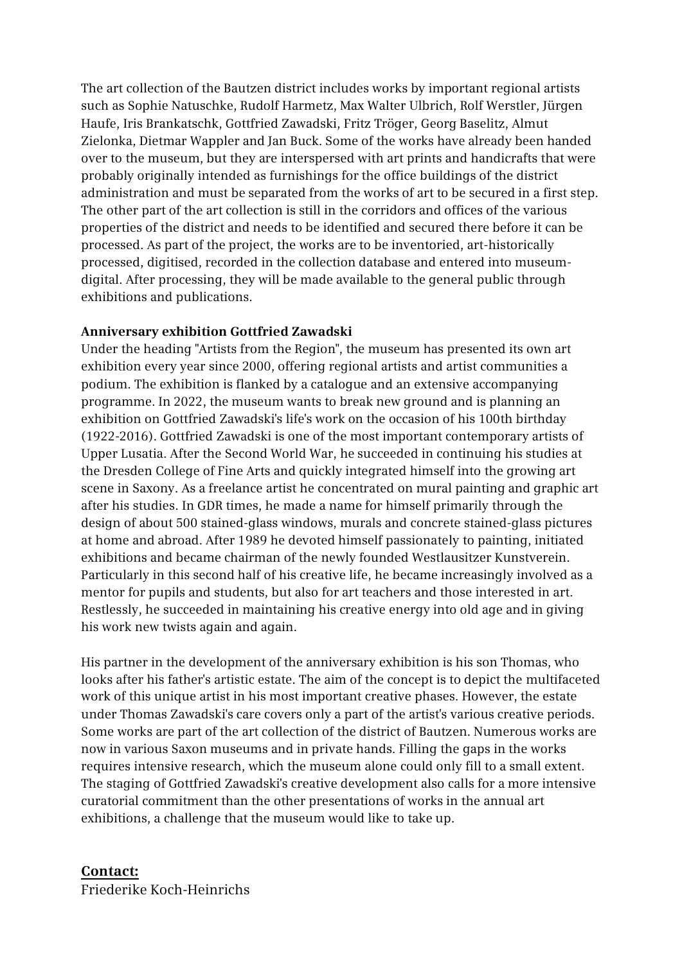The art collection of the Bautzen district includes works by important regional artists such as Sophie Natuschke, Rudolf Harmetz, Max Walter Ulbrich, Rolf Werstler, Jürgen Haufe, Iris Brankatschk, Gottfried Zawadski, Fritz Tröger, Georg Baselitz, Almut Zielonka, Dietmar Wappler and Jan Buck. Some of the works have already been handed over to the museum, but they are interspersed with art prints and handicrafts that were probably originally intended as furnishings for the office buildings of the district administration and must be separated from the works of art to be secured in a first step. The other part of the art collection is still in the corridors and offices of the various properties of the district and needs to be identified and secured there before it can be processed. As part of the project, the works are to be inventoried, art-historically processed, digitised, recorded in the collection database and entered into museumdigital. After processing, they will be made available to the general public through exhibitions and publications.

#### **Anniversary exhibition Gottfried Zawadski**

Under the heading "Artists from the Region", the museum has presented its own art exhibition every year since 2000, offering regional artists and artist communities a podium. The exhibition is flanked by a catalogue and an extensive accompanying programme. In 2022, the museum wants to break new ground and is planning an exhibition on Gottfried Zawadski's life's work on the occasion of his 100th birthday (1922-2016). Gottfried Zawadski is one of the most important contemporary artists of Upper Lusatia. After the Second World War, he succeeded in continuing his studies at the Dresden College of Fine Arts and quickly integrated himself into the growing art scene in Saxony. As a freelance artist he concentrated on mural painting and graphic art after his studies. In GDR times, he made a name for himself primarily through the design of about 500 stained-glass windows, murals and concrete stained-glass pictures at home and abroad. After 1989 he devoted himself passionately to painting, initiated exhibitions and became chairman of the newly founded Westlausitzer Kunstverein. Particularly in this second half of his creative life, he became increasingly involved as a mentor for pupils and students, but also for art teachers and those interested in art. Restlessly, he succeeded in maintaining his creative energy into old age and in giving his work new twists again and again.

His partner in the development of the anniversary exhibition is his son Thomas, who looks after his father's artistic estate. The aim of the concept is to depict the multifaceted work of this unique artist in his most important creative phases. However, the estate under Thomas Zawadski's care covers only a part of the artist's various creative periods. Some works are part of the art collection of the district of Bautzen. Numerous works are now in various Saxon museums and in private hands. Filling the gaps in the works requires intensive research, which the museum alone could only fill to a small extent. The staging of Gottfried Zawadski's creative development also calls for a more intensive curatorial commitment than the other presentations of works in the annual art exhibitions, a challenge that the museum would like to take up.

#### **Contact:**

Friederike Koch-Heinrichs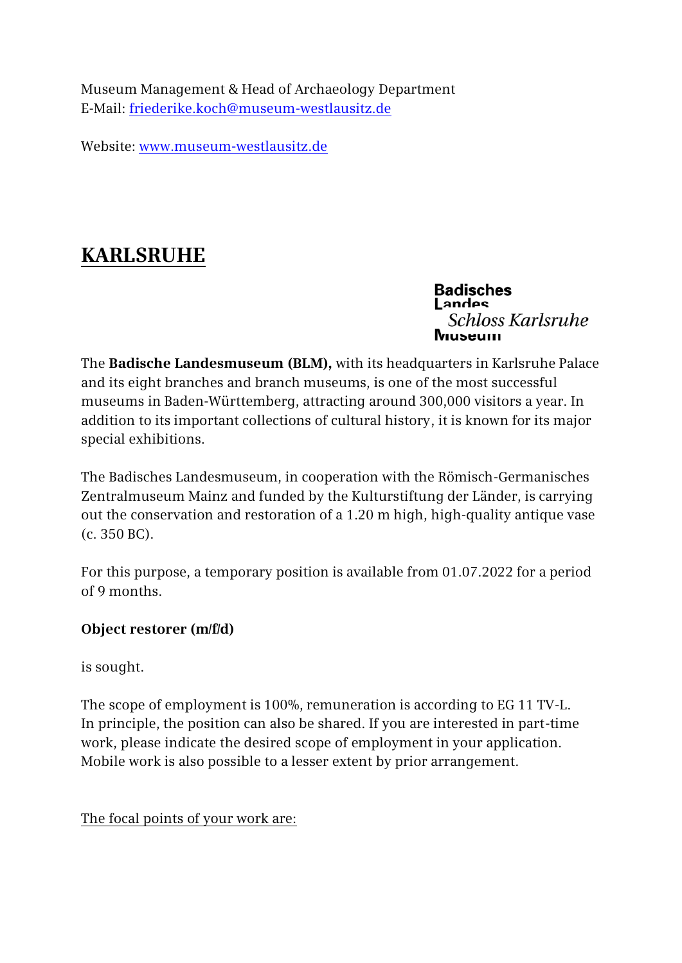Museum Management & Head of Archaeology Department E-Mail: [friederike.koch@museum-westlausitz.de](mailto:friederike.koch@museum-westlausitz.de)

Website: [www.museum-westlausitz.de](http://www.museum-westlausitz.de/)

# **KARLSRUHE**

**Badisches** Landes Schloss Karlsruhe Niuseum

The **Badische Landesmuseum (BLM),** with its headquarters in Karlsruhe Palace and its eight branches and branch museums, is one of the most successful museums in Baden-Württemberg, attracting around 300,000 visitors a year. In addition to its important collections of cultural history, it is known for its major special exhibitions.

The Badisches Landesmuseum, in cooperation with the Römisch-Germanisches Zentralmuseum Mainz and funded by the Kulturstiftung der Länder, is carrying out the conservation and restoration of a 1.20 m high, high-quality antique vase (c. 350 BC).

For this purpose, a temporary position is available from 01.07.2022 for a period of 9 months.

### **Object restorer (m/f/d)**

is sought.

The scope of employment is 100%, remuneration is according to EG 11 TV-L. In principle, the position can also be shared. If you are interested in part-time work, please indicate the desired scope of employment in your application. Mobile work is also possible to a lesser extent by prior arrangement.

The focal points of your work are: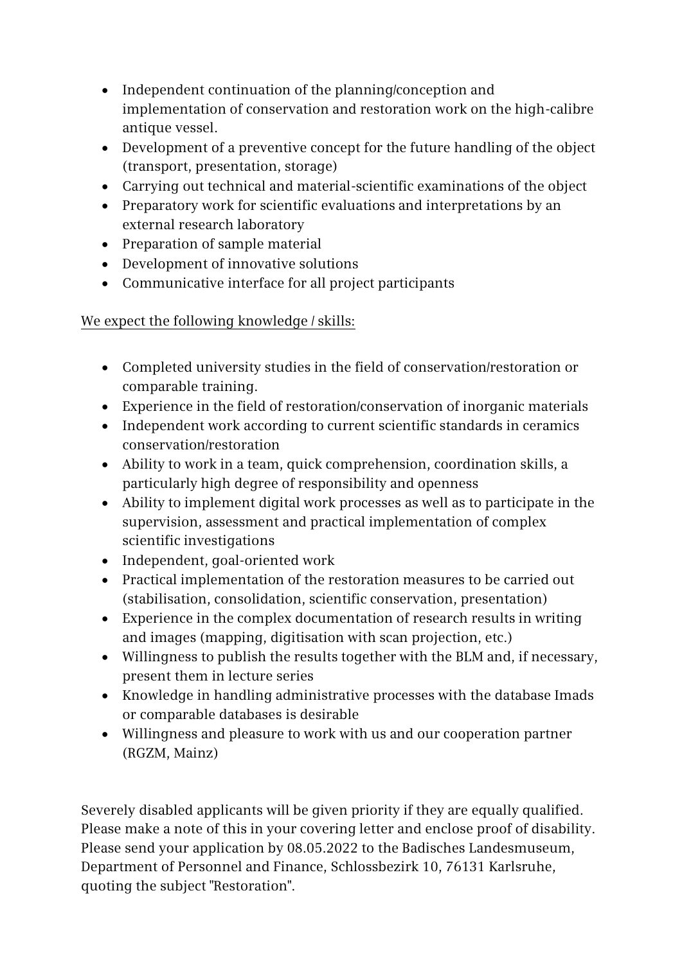- Independent continuation of the planning/conception and implementation of conservation and restoration work on the high-calibre antique vessel.
- Development of a preventive concept for the future handling of the object (transport, presentation, storage)
- Carrying out technical and material-scientific examinations of the object
- Preparatory work for scientific evaluations and interpretations by an external research laboratory
- Preparation of sample material
- Development of innovative solutions
- Communicative interface for all project participants

### We expect the following knowledge / skills:

- Completed university studies in the field of conservation/restoration or comparable training.
- Experience in the field of restoration/conservation of inorganic materials
- Independent work according to current scientific standards in ceramics conservation/restoration
- Ability to work in a team, quick comprehension, coordination skills, a particularly high degree of responsibility and openness
- Ability to implement digital work processes as well as to participate in the supervision, assessment and practical implementation of complex scientific investigations
- Independent, goal-oriented work
- Practical implementation of the restoration measures to be carried out (stabilisation, consolidation, scientific conservation, presentation)
- Experience in the complex documentation of research results in writing and images (mapping, digitisation with scan projection, etc.)
- Willingness to publish the results together with the BLM and, if necessary, present them in lecture series
- Knowledge in handling administrative processes with the database Imads or comparable databases is desirable
- Willingness and pleasure to work with us and our cooperation partner (RGZM, Mainz)

Severely disabled applicants will be given priority if they are equally qualified. Please make a note of this in your covering letter and enclose proof of disability. Please send your application by 08.05.2022 to the Badisches Landesmuseum, Department of Personnel and Finance, Schlossbezirk 10, 76131 Karlsruhe, quoting the subject "Restoration".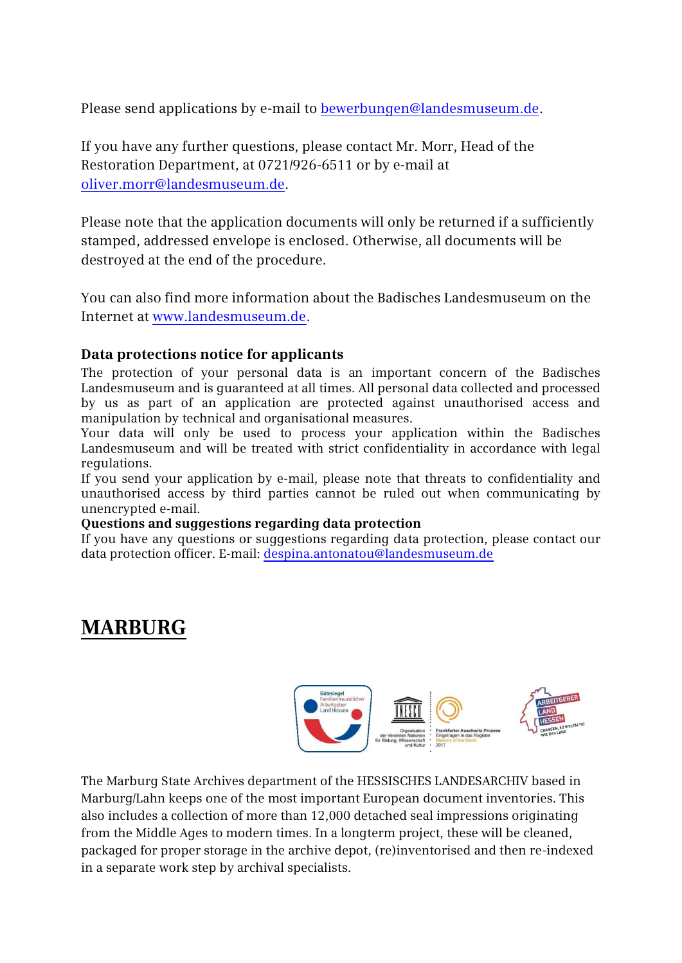Please send applications by e-mail t[o bewerbungen@landesmuseum.de.](mailto:bewerbungen@landesmuseum.de)

If you have any further questions, please contact Mr. Morr, Head of the Restoration Department, at 0721/926-6511 or by e-mail at [oliver.morr@landesmuseum.de.](mailto:oliver.morr@landesmuseum.de)

Please note that the application documents will only be returned if a sufficiently stamped, addressed envelope is enclosed. Otherwise, all documents will be destroyed at the end of the procedure.

You can also find more information about the Badisches Landesmuseum on the Internet at [www.landesmuseum.de.](http://www.landesmuseum.de/)

### **Data protections notice for applicants**

The protection of your personal data is an important concern of the Badisches Landesmuseum and is guaranteed at all times. All personal data collected and processed by us as part of an application are protected against unauthorised access and manipulation by technical and organisational measures.

Your data will only be used to process your application within the Badisches Landesmuseum and will be treated with strict confidentiality in accordance with legal regulations.

If you send your application by e-mail, please note that threats to confidentiality and unauthorised access by third parties cannot be ruled out when communicating by unencrypted e-mail.

#### **Questions and suggestions regarding data protection**

If you have any questions or suggestions regarding data protection, please contact our data protection officer. E-mail: [despina.antonatou@landesmuseum.de](mailto:despina.antonatou@landesmuseum.de)

## **MARBURG**



The Marburg State Archives department of the HESSISCHES LANDESARCHIV based in Marburg/Lahn keeps one of the most important European document inventories. This also includes a collection of more than 12,000 detached seal impressions originating from the Middle Ages to modern times. In a longterm project, these will be cleaned, packaged for proper storage in the archive depot, (re)inventorised and then re-indexed in a separate work step by archival specialists.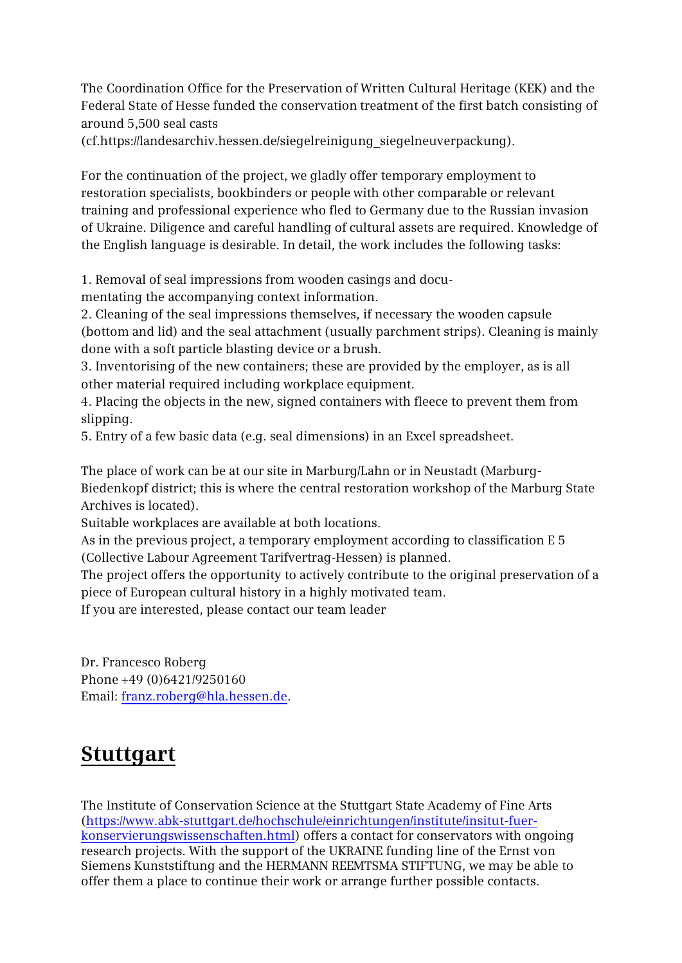The Coordination Office for the Preservation of Written Cultural Heritage (KEK) and the Federal State of Hesse funded the conservation treatment of the first batch consisting of around 5,500 seal casts

(cf.https://landesarchiv.hessen.de/siegelreinigung\_siegelneuverpackung).

For the continuation of the project, we gladly offer temporary employment to restoration specialists, bookbinders or people with other comparable or relevant training and professional experience who fled to Germany due to the Russian invasion of Ukraine. Diligence and careful handling of cultural assets are required. Knowledge of the English language is desirable. In detail, the work includes the following tasks:

1. Removal of seal impressions from wooden casings and docu-

mentating the accompanying context information.

2. Cleaning of the seal impressions themselves, if necessary the wooden capsule (bottom and lid) and the seal attachment (usually parchment strips). Cleaning is mainly done with a soft particle blasting device or a brush.

3. Inventorising of the new containers; these are provided by the employer, as is all other material required including workplace equipment.

4. Placing the objects in the new, signed containers with fleece to prevent them from slipping.

5. Entry of a few basic data (e.g. seal dimensions) in an Excel spreadsheet.

The place of work can be at our site in Marburg/Lahn or in Neustadt (Marburg-Biedenkopf district; this is where the central restoration workshop of the Marburg State Archives is located).

Suitable workplaces are available at both locations.

As in the previous project, a temporary employment according to classification E 5 (Collective Labour Agreement Tarifvertrag-Hessen) is planned.

The project offers the opportunity to actively contribute to the original preservation of a piece of European cultural history in a highly motivated team.

If you are interested, please contact our team leader

Dr. Francesco Roberg Phone +49 (0)6421/9250160 Email: [franz.roberg@hla.hessen.de.](mailto:franz.roberg@hla.hessen.de)

## **Stuttgart**

The Institute of Conservation Science at the Stuttgart State Academy of Fine Arts [\(https://www.abk-stuttgart.de/hochschule/einrichtungen/institute/insitut-fuer](https://eur01.safelinks.protection.outlook.com/?url=https%3A%2F%2Fwww.abk-stuttgart.de%2Fhochschule%2Feinrichtungen%2Finstitute%2Finsitut-fuer-konservierungswissenschaften.html&data=05%7C01%7Cpraktikant.evs-kunststiftung%40siemens.com%7C09c047e7f7c04c83fb7e08da22dea632%7C38ae3bcd95794fd4addab42e1495d55a%7C1%7C0%7C637860636905319393%7CUnknown%7CTWFpbGZsb3d8eyJWIjoiMC4wLjAwMDAiLCJQIjoiV2luMzIiLCJBTiI6Ik1haWwiLCJXVCI6Mn0%3D%7C3000%7C%7C%7C&sdata=R6127%2FxIzgtm%2F8vGd3XlSZLkKTAjCeK57NUR4YfXoug%3D&reserved=0)[konservierungswissenschaften.html\)](https://eur01.safelinks.protection.outlook.com/?url=https%3A%2F%2Fwww.abk-stuttgart.de%2Fhochschule%2Feinrichtungen%2Finstitute%2Finsitut-fuer-konservierungswissenschaften.html&data=05%7C01%7Cpraktikant.evs-kunststiftung%40siemens.com%7C09c047e7f7c04c83fb7e08da22dea632%7C38ae3bcd95794fd4addab42e1495d55a%7C1%7C0%7C637860636905319393%7CUnknown%7CTWFpbGZsb3d8eyJWIjoiMC4wLjAwMDAiLCJQIjoiV2luMzIiLCJBTiI6Ik1haWwiLCJXVCI6Mn0%3D%7C3000%7C%7C%7C&sdata=R6127%2FxIzgtm%2F8vGd3XlSZLkKTAjCeK57NUR4YfXoug%3D&reserved=0) offers a contact for conservators with ongoing research projects. With the support of the UKRAINE funding line of the Ernst von Siemens Kunststiftung and the HERMANN REEMTSMA STIFTUNG, we may be able to offer them a place to continue their work or arrange further possible contacts.